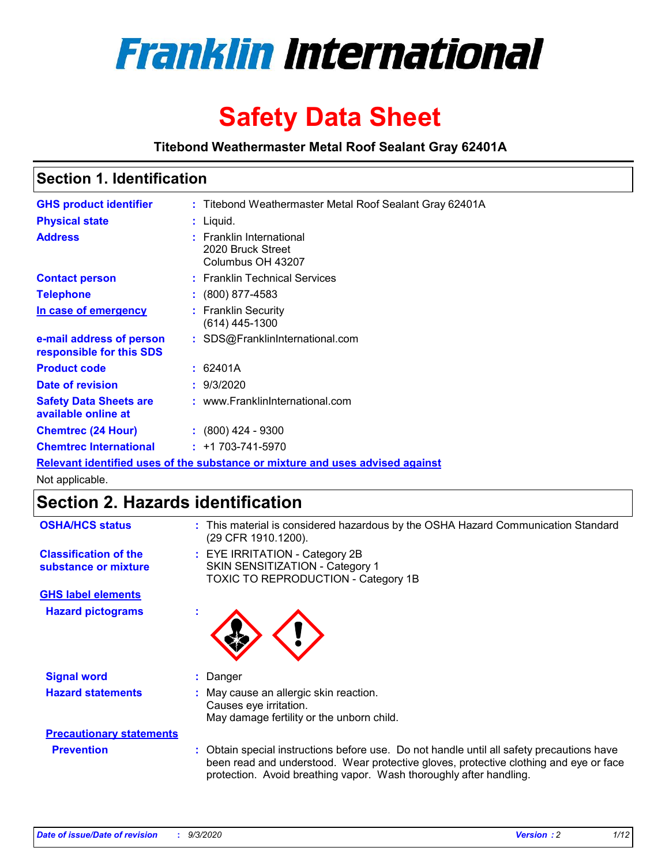

# **Safety Data Sheet**

**Titebond Weathermaster Metal Roof Sealant Gray 62401A**

### **Section 1. Identification**

| <b>GHS product identifier</b>                                                 |  | : Titebond Weathermaster Metal Roof Sealant Gray 62401A            |  |  |
|-------------------------------------------------------------------------------|--|--------------------------------------------------------------------|--|--|
| <b>Physical state</b>                                                         |  | : Liquid.                                                          |  |  |
| <b>Address</b>                                                                |  | : Franklin International<br>2020 Bruck Street<br>Columbus OH 43207 |  |  |
| <b>Contact person</b>                                                         |  | : Franklin Technical Services                                      |  |  |
| <b>Telephone</b>                                                              |  | $\colon$ (800) 877-4583                                            |  |  |
| In case of emergency                                                          |  | : Franklin Security<br>(614) 445-1300                              |  |  |
| e-mail address of person<br>responsible for this SDS                          |  | : SDS@FranklinInternational.com                                    |  |  |
| <b>Product code</b>                                                           |  | : 62401A                                                           |  |  |
| Date of revision                                                              |  | : 9/3/2020                                                         |  |  |
| <b>Safety Data Sheets are</b><br>available online at                          |  | : www.FranklinInternational.com                                    |  |  |
| <b>Chemtrec (24 Hour)</b>                                                     |  | $: (800)$ 424 - 9300                                               |  |  |
| <b>Chemtrec International</b>                                                 |  | $: +1703 - 741 - 5970$                                             |  |  |
| Relevant identified uses of the substance or mixture and uses advised against |  |                                                                    |  |  |

Not applicable.

## **Section 2. Hazards identification**

| <b>OSHA/HCS status</b>                               |   | : This material is considered hazardous by the OSHA Hazard Communication Standard<br>(29 CFR 1910.1200).                                                                                                                                                 |
|------------------------------------------------------|---|----------------------------------------------------------------------------------------------------------------------------------------------------------------------------------------------------------------------------------------------------------|
| <b>Classification of the</b><br>substance or mixture |   | : EYE IRRITATION - Category 2B<br>SKIN SENSITIZATION - Category 1<br>TOXIC TO REPRODUCTION - Category 1B                                                                                                                                                 |
| <b>GHS label elements</b>                            |   |                                                                                                                                                                                                                                                          |
| <b>Hazard pictograms</b>                             | ٠ |                                                                                                                                                                                                                                                          |
| <b>Signal word</b>                                   |   | : Danger                                                                                                                                                                                                                                                 |
| <b>Hazard statements</b>                             |   | : May cause an allergic skin reaction.<br>Causes eye irritation.<br>May damage fertility or the unborn child.                                                                                                                                            |
| <b>Precautionary statements</b>                      |   |                                                                                                                                                                                                                                                          |
| <b>Prevention</b>                                    |   | : Obtain special instructions before use. Do not handle until all safety precautions have<br>been read and understood. Wear protective gloves, protective clothing and eye or face<br>protection. Avoid breathing vapor. Wash thoroughly after handling. |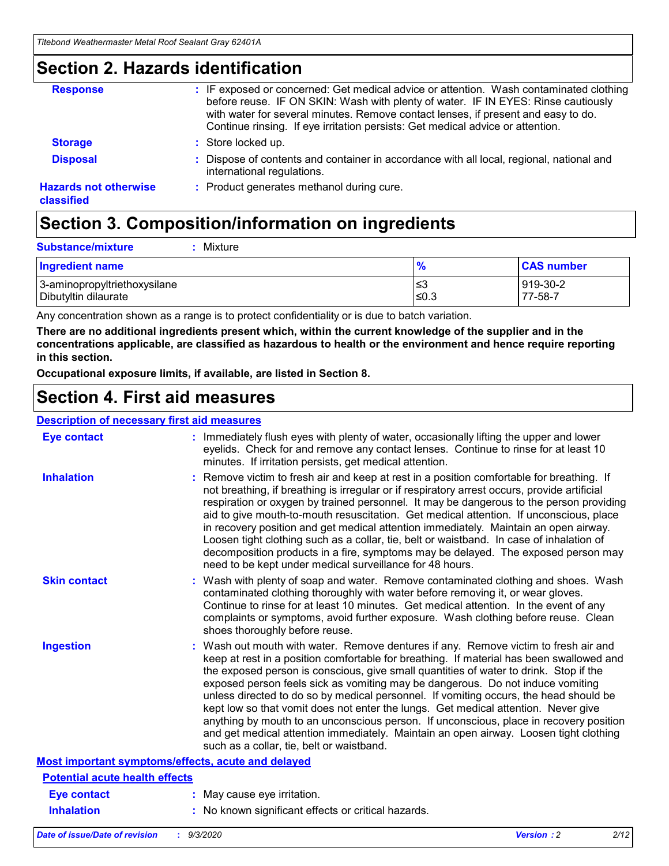### **Section 2. Hazards identification**

| <b>Response</b>                            | : IF exposed or concerned: Get medical advice or attention. Wash contaminated clothing<br>before reuse. IF ON SKIN: Wash with plenty of water. IF IN EYES: Rinse cautiously<br>with water for several minutes. Remove contact lenses, if present and easy to do.<br>Continue rinsing. If eye irritation persists: Get medical advice or attention. |
|--------------------------------------------|----------------------------------------------------------------------------------------------------------------------------------------------------------------------------------------------------------------------------------------------------------------------------------------------------------------------------------------------------|
| <b>Storage</b>                             | : Store locked up.                                                                                                                                                                                                                                                                                                                                 |
| <b>Disposal</b>                            | : Dispose of contents and container in accordance with all local, regional, national and<br>international regulations.                                                                                                                                                                                                                             |
| <b>Hazards not otherwise</b><br>classified | : Product generates methanol during cure.                                                                                                                                                                                                                                                                                                          |

## **Section 3. Composition/information on ingredients**

| <b>Substance/mixture</b> | : Mixture |
|--------------------------|-----------|
|                          |           |

| <b>Ingredient name</b>       | $\frac{9}{6}$ | <b>CAS number</b> |
|------------------------------|---------------|-------------------|
| 3-aminopropyltriethoxysilane | ≤3            | 919-30-2          |
| Dibutyltin dilaurate         | ∣≤0.3         | 77-58-7           |

Any concentration shown as a range is to protect confidentiality or is due to batch variation.

**There are no additional ingredients present which, within the current knowledge of the supplier and in the concentrations applicable, are classified as hazardous to health or the environment and hence require reporting in this section.**

**Occupational exposure limits, if available, are listed in Section 8.**

### **Section 4. First aid measures**

| <b>Description of necessary first aid measures</b> |                                                                                                                                                                                                                                                                                                                                                                                                                                                                                                                                                                                                                                                                                                                                                                           |
|----------------------------------------------------|---------------------------------------------------------------------------------------------------------------------------------------------------------------------------------------------------------------------------------------------------------------------------------------------------------------------------------------------------------------------------------------------------------------------------------------------------------------------------------------------------------------------------------------------------------------------------------------------------------------------------------------------------------------------------------------------------------------------------------------------------------------------------|
| <b>Eye contact</b>                                 | : Immediately flush eyes with plenty of water, occasionally lifting the upper and lower<br>eyelids. Check for and remove any contact lenses. Continue to rinse for at least 10<br>minutes. If irritation persists, get medical attention.                                                                                                                                                                                                                                                                                                                                                                                                                                                                                                                                 |
| <b>Inhalation</b>                                  | : Remove victim to fresh air and keep at rest in a position comfortable for breathing. If<br>not breathing, if breathing is irregular or if respiratory arrest occurs, provide artificial<br>respiration or oxygen by trained personnel. It may be dangerous to the person providing<br>aid to give mouth-to-mouth resuscitation. Get medical attention. If unconscious, place<br>in recovery position and get medical attention immediately. Maintain an open airway.<br>Loosen tight clothing such as a collar, tie, belt or waistband. In case of inhalation of<br>decomposition products in a fire, symptoms may be delayed. The exposed person may<br>need to be kept under medical surveillance for 48 hours.                                                       |
| <b>Skin contact</b>                                | : Wash with plenty of soap and water. Remove contaminated clothing and shoes. Wash<br>contaminated clothing thoroughly with water before removing it, or wear gloves.<br>Continue to rinse for at least 10 minutes. Get medical attention. In the event of any<br>complaints or symptoms, avoid further exposure. Wash clothing before reuse. Clean<br>shoes thoroughly before reuse.                                                                                                                                                                                                                                                                                                                                                                                     |
| <b>Ingestion</b>                                   | : Wash out mouth with water. Remove dentures if any. Remove victim to fresh air and<br>keep at rest in a position comfortable for breathing. If material has been swallowed and<br>the exposed person is conscious, give small quantities of water to drink. Stop if the<br>exposed person feels sick as vomiting may be dangerous. Do not induce vomiting<br>unless directed to do so by medical personnel. If vomiting occurs, the head should be<br>kept low so that vomit does not enter the lungs. Get medical attention. Never give<br>anything by mouth to an unconscious person. If unconscious, place in recovery position<br>and get medical attention immediately. Maintain an open airway. Loosen tight clothing<br>such as a collar, tie, belt or waistband. |
| Most important symptoms/effects, acute and delayed |                                                                                                                                                                                                                                                                                                                                                                                                                                                                                                                                                                                                                                                                                                                                                                           |
| <b>Potential acute health effects</b>              |                                                                                                                                                                                                                                                                                                                                                                                                                                                                                                                                                                                                                                                                                                                                                                           |
| <b>Eye contact</b>                                 | : May cause eye irritation.                                                                                                                                                                                                                                                                                                                                                                                                                                                                                                                                                                                                                                                                                                                                               |
| <b>Inhalation</b>                                  | : No known significant effects or critical hazards.                                                                                                                                                                                                                                                                                                                                                                                                                                                                                                                                                                                                                                                                                                                       |
|                                                    |                                                                                                                                                                                                                                                                                                                                                                                                                                                                                                                                                                                                                                                                                                                                                                           |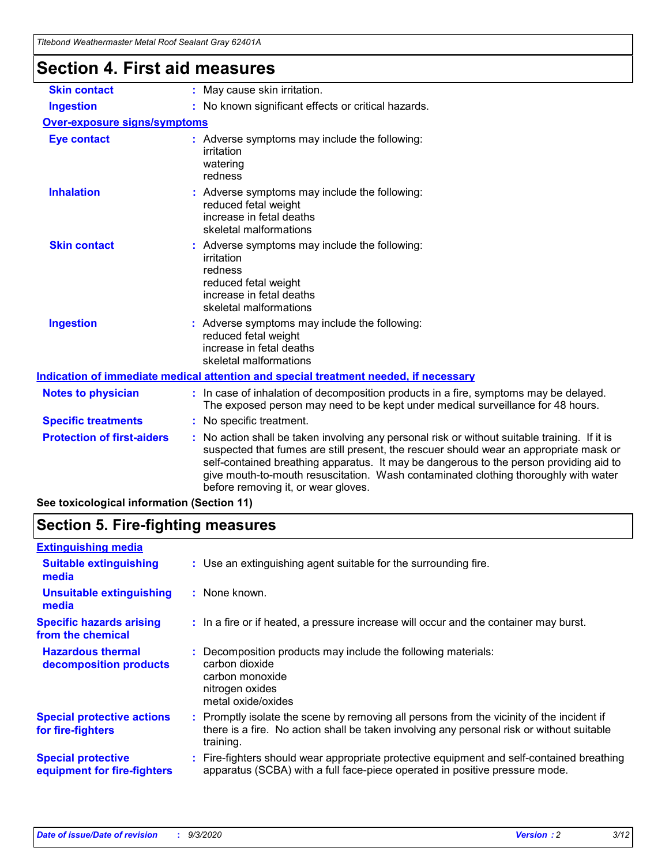| Titebond Weathermaster Metal Roof Sealant Gray 62401A |                                                                                                                                                                                                                                                                                                                                                                                                                 |
|-------------------------------------------------------|-----------------------------------------------------------------------------------------------------------------------------------------------------------------------------------------------------------------------------------------------------------------------------------------------------------------------------------------------------------------------------------------------------------------|
| <b>Section 4. First aid measures</b>                  |                                                                                                                                                                                                                                                                                                                                                                                                                 |
| <b>Skin contact</b>                                   | : May cause skin irritation.                                                                                                                                                                                                                                                                                                                                                                                    |
| <b>Ingestion</b>                                      | : No known significant effects or critical hazards.                                                                                                                                                                                                                                                                                                                                                             |
| Over-exposure signs/symptoms                          |                                                                                                                                                                                                                                                                                                                                                                                                                 |
| <b>Eye contact</b>                                    | : Adverse symptoms may include the following:<br>irritation<br>watering<br>redness                                                                                                                                                                                                                                                                                                                              |
| <b>Inhalation</b>                                     | : Adverse symptoms may include the following:<br>reduced fetal weight<br>increase in fetal deaths<br>skeletal malformations                                                                                                                                                                                                                                                                                     |
| <b>Skin contact</b>                                   | : Adverse symptoms may include the following:<br>irritation<br>redness<br>reduced fetal weight<br>increase in fetal deaths<br>skeletal malformations                                                                                                                                                                                                                                                            |
| <b>Ingestion</b>                                      | : Adverse symptoms may include the following:<br>reduced fetal weight<br>increase in fetal deaths<br>skeletal malformations                                                                                                                                                                                                                                                                                     |
|                                                       | Indication of immediate medical attention and special treatment needed, if necessary                                                                                                                                                                                                                                                                                                                            |
| <b>Notes to physician</b>                             | : In case of inhalation of decomposition products in a fire, symptoms may be delayed.<br>The exposed person may need to be kept under medical surveillance for 48 hours.                                                                                                                                                                                                                                        |
| <b>Specific treatments</b>                            | : No specific treatment.                                                                                                                                                                                                                                                                                                                                                                                        |
| <b>Protection of first-aiders</b>                     | : No action shall be taken involving any personal risk or without suitable training. If it is<br>suspected that fumes are still present, the rescuer should wear an appropriate mask or<br>self-contained breathing apparatus. It may be dangerous to the person providing aid to<br>give mouth-to-mouth resuscitation. Wash contaminated clothing thoroughly with water<br>before removing it, or wear gloves. |

**See toxicological information (Section 11)**

### **Section 5. Fire-fighting measures**

| <b>Extinguishing media</b>                               |                                                                                                                                                                                                     |
|----------------------------------------------------------|-----------------------------------------------------------------------------------------------------------------------------------------------------------------------------------------------------|
| <b>Suitable extinguishing</b><br>media                   | : Use an extinguishing agent suitable for the surrounding fire.                                                                                                                                     |
| <b>Unsuitable extinguishing</b><br>media                 | $:$ None known.                                                                                                                                                                                     |
| <b>Specific hazards arising</b><br>from the chemical     | : In a fire or if heated, a pressure increase will occur and the container may burst.                                                                                                               |
| <b>Hazardous thermal</b><br>decomposition products       | Decomposition products may include the following materials:<br>carbon dioxide<br>carbon monoxide<br>nitrogen oxides<br>metal oxide/oxides                                                           |
| <b>Special protective actions</b><br>for fire-fighters   | : Promptly isolate the scene by removing all persons from the vicinity of the incident if<br>there is a fire. No action shall be taken involving any personal risk or without suitable<br>training. |
| <b>Special protective</b><br>equipment for fire-fighters | Fire-fighters should wear appropriate protective equipment and self-contained breathing<br>apparatus (SCBA) with a full face-piece operated in positive pressure mode.                              |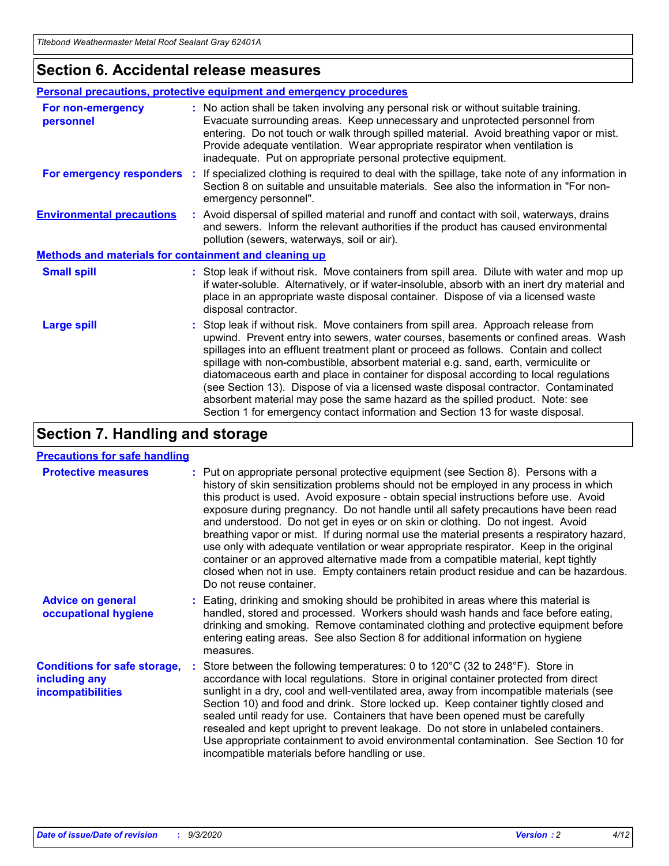### **Section 6. Accidental release measures**

|                                                       | Personal precautions, protective equipment and emergency procedures                                                                                                                                                                                                                                                                                                                                                                                                                                                                                                                                                                                                                                          |  |  |  |
|-------------------------------------------------------|--------------------------------------------------------------------------------------------------------------------------------------------------------------------------------------------------------------------------------------------------------------------------------------------------------------------------------------------------------------------------------------------------------------------------------------------------------------------------------------------------------------------------------------------------------------------------------------------------------------------------------------------------------------------------------------------------------------|--|--|--|
| For non-emergency<br>personnel                        | : No action shall be taken involving any personal risk or without suitable training.<br>Evacuate surrounding areas. Keep unnecessary and unprotected personnel from<br>entering. Do not touch or walk through spilled material. Avoid breathing vapor or mist.<br>Provide adequate ventilation. Wear appropriate respirator when ventilation is<br>inadequate. Put on appropriate personal protective equipment.                                                                                                                                                                                                                                                                                             |  |  |  |
| For emergency responders                              | : If specialized clothing is required to deal with the spillage, take note of any information in<br>Section 8 on suitable and unsuitable materials. See also the information in "For non-<br>emergency personnel".                                                                                                                                                                                                                                                                                                                                                                                                                                                                                           |  |  |  |
| <b>Environmental precautions</b>                      | : Avoid dispersal of spilled material and runoff and contact with soil, waterways, drains<br>and sewers. Inform the relevant authorities if the product has caused environmental<br>pollution (sewers, waterways, soil or air).                                                                                                                                                                                                                                                                                                                                                                                                                                                                              |  |  |  |
| Methods and materials for containment and cleaning up |                                                                                                                                                                                                                                                                                                                                                                                                                                                                                                                                                                                                                                                                                                              |  |  |  |
| <b>Small spill</b>                                    | : Stop leak if without risk. Move containers from spill area. Dilute with water and mop up<br>if water-soluble. Alternatively, or if water-insoluble, absorb with an inert dry material and<br>place in an appropriate waste disposal container. Dispose of via a licensed waste<br>disposal contractor.                                                                                                                                                                                                                                                                                                                                                                                                     |  |  |  |
| <b>Large spill</b>                                    | : Stop leak if without risk. Move containers from spill area. Approach release from<br>upwind. Prevent entry into sewers, water courses, basements or confined areas. Wash<br>spillages into an effluent treatment plant or proceed as follows. Contain and collect<br>spillage with non-combustible, absorbent material e.g. sand, earth, vermiculite or<br>diatomaceous earth and place in container for disposal according to local regulations<br>(see Section 13). Dispose of via a licensed waste disposal contractor. Contaminated<br>absorbent material may pose the same hazard as the spilled product. Note: see<br>Section 1 for emergency contact information and Section 13 for waste disposal. |  |  |  |

### **Section 7. Handling and storage**

#### **Precautions for safe handling**

| <b>Protective measures</b>                                                       | : Put on appropriate personal protective equipment (see Section 8). Persons with a<br>history of skin sensitization problems should not be employed in any process in which<br>this product is used. Avoid exposure - obtain special instructions before use. Avoid<br>exposure during pregnancy. Do not handle until all safety precautions have been read<br>and understood. Do not get in eyes or on skin or clothing. Do not ingest. Avoid<br>breathing vapor or mist. If during normal use the material presents a respiratory hazard,<br>use only with adequate ventilation or wear appropriate respirator. Keep in the original<br>container or an approved alternative made from a compatible material, kept tightly<br>closed when not in use. Empty containers retain product residue and can be hazardous.<br>Do not reuse container. |
|----------------------------------------------------------------------------------|--------------------------------------------------------------------------------------------------------------------------------------------------------------------------------------------------------------------------------------------------------------------------------------------------------------------------------------------------------------------------------------------------------------------------------------------------------------------------------------------------------------------------------------------------------------------------------------------------------------------------------------------------------------------------------------------------------------------------------------------------------------------------------------------------------------------------------------------------|
| <b>Advice on general</b><br>occupational hygiene                                 | : Eating, drinking and smoking should be prohibited in areas where this material is<br>handled, stored and processed. Workers should wash hands and face before eating,<br>drinking and smoking. Remove contaminated clothing and protective equipment before<br>entering eating areas. See also Section 8 for additional information on hygiene<br>measures.                                                                                                                                                                                                                                                                                                                                                                                                                                                                                    |
| <b>Conditions for safe storage,</b><br>including any<br><i>incompatibilities</i> | Store between the following temperatures: 0 to $120^{\circ}$ C (32 to $248^{\circ}$ F). Store in<br>accordance with local regulations. Store in original container protected from direct<br>sunlight in a dry, cool and well-ventilated area, away from incompatible materials (see<br>Section 10) and food and drink. Store locked up. Keep container tightly closed and<br>sealed until ready for use. Containers that have been opened must be carefully<br>resealed and kept upright to prevent leakage. Do not store in unlabeled containers.<br>Use appropriate containment to avoid environmental contamination. See Section 10 for<br>incompatible materials before handling or use.                                                                                                                                                     |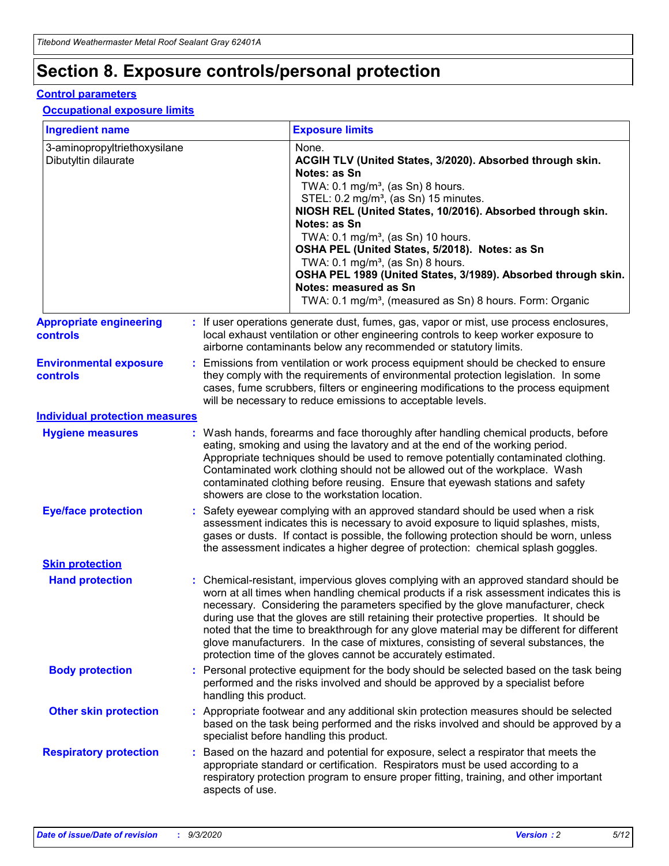## **Section 8. Exposure controls/personal protection**

#### **Control parameters**

#### **Occupational exposure limits**

| <b>Ingredient name</b>                               |    |                        | <b>Exposure limits</b>                                                                                                                                                                                                                                                                                                                                                                                                                                                                                                                                                                                                 |
|------------------------------------------------------|----|------------------------|------------------------------------------------------------------------------------------------------------------------------------------------------------------------------------------------------------------------------------------------------------------------------------------------------------------------------------------------------------------------------------------------------------------------------------------------------------------------------------------------------------------------------------------------------------------------------------------------------------------------|
| 3-aminopropyltriethoxysilane<br>Dibutyltin dilaurate |    |                        | None.<br>ACGIH TLV (United States, 3/2020). Absorbed through skin.<br>Notes: as Sn<br>TWA: $0.1 \text{ mg/m}^3$ , (as Sn) 8 hours.<br>STEL: 0.2 mg/m <sup>3</sup> , (as Sn) 15 minutes.<br>NIOSH REL (United States, 10/2016). Absorbed through skin.<br>Notes: as Sn<br>TWA: 0.1 mg/m <sup>3</sup> , (as Sn) 10 hours.<br>OSHA PEL (United States, 5/2018). Notes: as Sn<br>TWA: 0.1 mg/m <sup>3</sup> , (as Sn) 8 hours.<br>OSHA PEL 1989 (United States, 3/1989). Absorbed through skin.<br>Notes: measured as Sn<br>TWA: 0.1 mg/m <sup>3</sup> , (measured as Sn) 8 hours. Form: Organic                           |
| <b>Appropriate engineering</b><br>controls           |    |                        | : If user operations generate dust, fumes, gas, vapor or mist, use process enclosures,<br>local exhaust ventilation or other engineering controls to keep worker exposure to<br>airborne contaminants below any recommended or statutory limits.                                                                                                                                                                                                                                                                                                                                                                       |
| <b>Environmental exposure</b><br>controls            |    |                        | Emissions from ventilation or work process equipment should be checked to ensure<br>they comply with the requirements of environmental protection legislation. In some<br>cases, fume scrubbers, filters or engineering modifications to the process equipment<br>will be necessary to reduce emissions to acceptable levels.                                                                                                                                                                                                                                                                                          |
| <b>Individual protection measures</b>                |    |                        |                                                                                                                                                                                                                                                                                                                                                                                                                                                                                                                                                                                                                        |
| <b>Hygiene measures</b>                              |    |                        | : Wash hands, forearms and face thoroughly after handling chemical products, before<br>eating, smoking and using the lavatory and at the end of the working period.<br>Appropriate techniques should be used to remove potentially contaminated clothing.<br>Contaminated work clothing should not be allowed out of the workplace. Wash<br>contaminated clothing before reusing. Ensure that eyewash stations and safety<br>showers are close to the workstation location.                                                                                                                                            |
| <b>Eye/face protection</b>                           |    |                        | Safety eyewear complying with an approved standard should be used when a risk<br>assessment indicates this is necessary to avoid exposure to liquid splashes, mists,<br>gases or dusts. If contact is possible, the following protection should be worn, unless<br>the assessment indicates a higher degree of protection: chemical splash goggles.                                                                                                                                                                                                                                                                    |
| <b>Skin protection</b>                               |    |                        |                                                                                                                                                                                                                                                                                                                                                                                                                                                                                                                                                                                                                        |
| <b>Hand protection</b>                               |    |                        | : Chemical-resistant, impervious gloves complying with an approved standard should be<br>worn at all times when handling chemical products if a risk assessment indicates this is<br>necessary. Considering the parameters specified by the glove manufacturer, check<br>during use that the gloves are still retaining their protective properties. It should be<br>noted that the time to breakthrough for any glove material may be different for different<br>glove manufacturers. In the case of mixtures, consisting of several substances, the<br>protection time of the gloves cannot be accurately estimated. |
| <b>Body protection</b>                               |    | handling this product. | Personal protective equipment for the body should be selected based on the task being<br>performed and the risks involved and should be approved by a specialist before                                                                                                                                                                                                                                                                                                                                                                                                                                                |
| <b>Other skin protection</b>                         |    |                        | : Appropriate footwear and any additional skin protection measures should be selected<br>based on the task being performed and the risks involved and should be approved by a<br>specialist before handling this product.                                                                                                                                                                                                                                                                                                                                                                                              |
| <b>Respiratory protection</b>                        | ÷. | aspects of use.        | Based on the hazard and potential for exposure, select a respirator that meets the<br>appropriate standard or certification. Respirators must be used according to a<br>respiratory protection program to ensure proper fitting, training, and other important                                                                                                                                                                                                                                                                                                                                                         |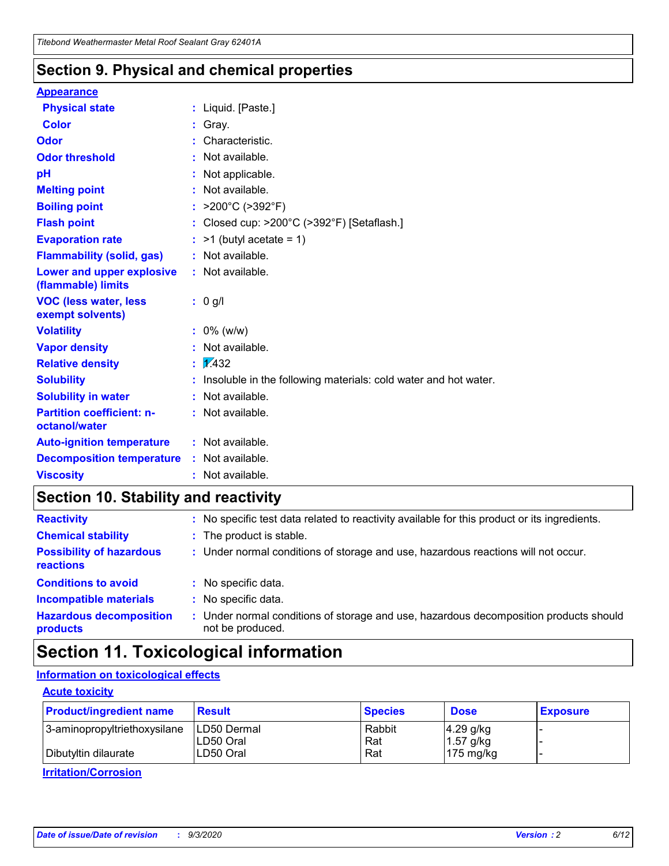### **Section 9. Physical and chemical properties**

#### **Appearance**

| <b>Physical state</b>                             |    | : Liquid. [Paste.]                                              |
|---------------------------------------------------|----|-----------------------------------------------------------------|
| <b>Color</b>                                      |    | Gray.                                                           |
| Odor                                              |    | Characteristic.                                                 |
| <b>Odor threshold</b>                             |    | Not available.                                                  |
| рH                                                |    | Not applicable.                                                 |
| <b>Melting point</b>                              |    | Not available.                                                  |
| <b>Boiling point</b>                              |    | : $>200^{\circ}$ C ( $>392^{\circ}$ F)                          |
| <b>Flash point</b>                                |    | Closed cup: >200°C (>392°F) [Setaflash.]                        |
| <b>Evaporation rate</b>                           |    | $:$ >1 (butyl acetate = 1)                                      |
| <b>Flammability (solid, gas)</b>                  |    | : Not available.                                                |
| Lower and upper explosive<br>(flammable) limits   |    | : Not available.                                                |
| <b>VOC (less water, less</b><br>exempt solvents)  |    | : 0 g/l                                                         |
| <b>Volatility</b>                                 |    | $: 0\%$ (w/w)                                                   |
| <b>Vapor density</b>                              |    | Not available.                                                  |
| <b>Relative density</b>                           | t. | $\sqrt{1/432}$                                                  |
| <b>Solubility</b>                                 |    | Insoluble in the following materials: cold water and hot water. |
| <b>Solubility in water</b>                        |    | Not available.                                                  |
| <b>Partition coefficient: n-</b><br>octanol/water |    | : Not available.                                                |
| <b>Auto-ignition temperature</b>                  |    | : Not available.                                                |
| <b>Decomposition temperature</b>                  |    | : Not available.                                                |
| <b>Viscosity</b>                                  |    | $:$ Not available.                                              |

### **Section 10. Stability and reactivity**

| <b>Reactivity</b>                            |    | : No specific test data related to reactivity available for this product or its ingredients.            |
|----------------------------------------------|----|---------------------------------------------------------------------------------------------------------|
| <b>Chemical stability</b>                    |    | : The product is stable.                                                                                |
| <b>Possibility of hazardous</b><br>reactions |    | : Under normal conditions of storage and use, hazardous reactions will not occur.                       |
| <b>Conditions to avoid</b>                   |    | : No specific data.                                                                                     |
| <b>Incompatible materials</b>                | ٠. | No specific data.                                                                                       |
| <b>Hazardous decomposition</b><br>products   | ÷. | Under normal conditions of storage and use, hazardous decomposition products should<br>not be produced. |

### **Section 11. Toxicological information**

#### **Information on toxicological effects**

#### **Acute toxicity**

| <b>Product/ingredient name</b> | <b>Result</b>           | <b>Species</b> | <b>Dose</b>                | <b>Exposure</b> |
|--------------------------------|-------------------------|----------------|----------------------------|-----------------|
| 3-aminopropyltriethoxysilane   | <b>ILD50 Dermal</b>     | Rabbit         | 4.29 g/kg                  |                 |
| Dibutyltin dilaurate           | ILD50 Oral<br>LD50 Oral | Rat<br>Rat     | $1.57$ g/kg<br>175 $mg/kg$ |                 |
|                                |                         |                |                            |                 |

**Irritation/Corrosion**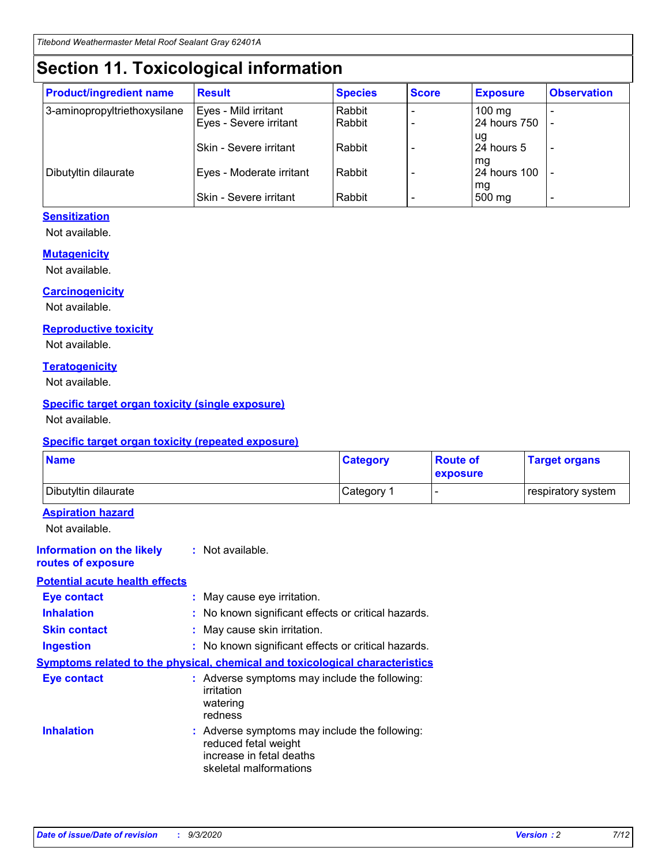## **Section 11. Toxicological information**

| <b>Product/ingredient name</b> | <b>Result</b>                 | <b>Species</b> | <b>Score</b> | <b>Exposure</b>    | <b>Observation</b> |
|--------------------------------|-------------------------------|----------------|--------------|--------------------|--------------------|
| 3-aminopropyltriethoxysilane   | Eyes - Mild irritant          | Rabbit         |              | $100 \text{ mg}$   |                    |
|                                | Eyes - Severe irritant        | Rabbit         |              | 24 hours 750       |                    |
|                                |                               |                |              | ug                 |                    |
|                                | <b>Skin - Severe irritant</b> | Rabbit         |              | 24 hours 5         | -                  |
| Dibutyltin dilaurate           | Eyes - Moderate irritant      | Rabbit         |              | mq<br>24 hours 100 |                    |
|                                |                               |                |              | mg                 |                    |
|                                | Skin - Severe irritant        | Rabbit         |              | 500 mg             |                    |

#### **Sensitization**

Not available.

#### **Mutagenicity**

Not available.

#### **Carcinogenicity**

Not available.

#### **Reproductive toxicity**

Not available.

#### **Teratogenicity**

Not available.

#### **Specific target organ toxicity (single exposure)**

Not available.

#### **Specific target organ toxicity (repeated exposure)**

| <b>Name</b>                                                                         |                                                                            | <b>Category</b>                                     | <b>Route of</b><br>exposure | <b>Target organs</b> |  |  |
|-------------------------------------------------------------------------------------|----------------------------------------------------------------------------|-----------------------------------------------------|-----------------------------|----------------------|--|--|
| Dibutyltin dilaurate                                                                |                                                                            | Category 1                                          | -                           | respiratory system   |  |  |
| <b>Aspiration hazard</b><br>Not available.                                          |                                                                            |                                                     |                             |                      |  |  |
| <b>Information on the likely</b><br>routes of exposure                              | : Not available.                                                           |                                                     |                             |                      |  |  |
| <b>Potential acute health effects</b>                                               |                                                                            |                                                     |                             |                      |  |  |
| <b>Eye contact</b>                                                                  | : May cause eye irritation.                                                |                                                     |                             |                      |  |  |
| <b>Inhalation</b>                                                                   |                                                                            | : No known significant effects or critical hazards. |                             |                      |  |  |
| <b>Skin contact</b>                                                                 |                                                                            | : May cause skin irritation.                        |                             |                      |  |  |
| <b>Ingestion</b>                                                                    |                                                                            | : No known significant effects or critical hazards. |                             |                      |  |  |
| <b>Symptoms related to the physical, chemical and toxicological characteristics</b> |                                                                            |                                                     |                             |                      |  |  |
| <b>Eye contact</b>                                                                  | irritation<br>watering<br>redness                                          | : Adverse symptoms may include the following:       |                             |                      |  |  |
| <b>Inhalation</b>                                                                   | reduced fetal weight<br>increase in fetal deaths<br>skeletal malformations | : Adverse symptoms may include the following:       |                             |                      |  |  |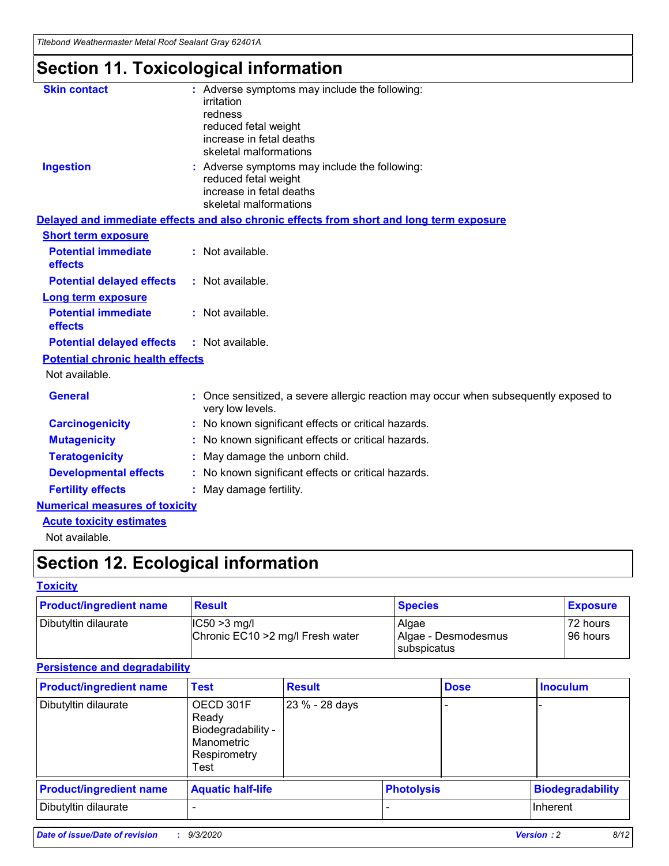*Titebond Weathermaster Metal Roof Sealant Gray 62401A*

## **Section 11. Toxicological information**

| <b>Skin contact</b>                     | : Adverse symptoms may include the following:<br>irritation                                            |
|-----------------------------------------|--------------------------------------------------------------------------------------------------------|
|                                         | redness                                                                                                |
|                                         | reduced fetal weight                                                                                   |
|                                         | increase in fetal deaths                                                                               |
|                                         | skeletal malformations                                                                                 |
| <b>Ingestion</b>                        | : Adverse symptoms may include the following:<br>reduced fetal weight                                  |
|                                         | increase in fetal deaths                                                                               |
|                                         | skeletal malformations                                                                                 |
|                                         | Delayed and immediate effects and also chronic effects from short and long term exposure               |
| <b>Short term exposure</b>              |                                                                                                        |
| <b>Potential immediate</b><br>effects   | : Not available.                                                                                       |
| <b>Potential delayed effects</b>        | : Not available.                                                                                       |
| <b>Long term exposure</b>               |                                                                                                        |
| <b>Potential immediate</b><br>effects   | : Not available.                                                                                       |
| <b>Potential delayed effects</b>        | : Not available.                                                                                       |
| <b>Potential chronic health effects</b> |                                                                                                        |
| Not available.                          |                                                                                                        |
| <b>General</b>                          | Once sensitized, a severe allergic reaction may occur when subsequently exposed to<br>very low levels. |
| <b>Carcinogenicity</b>                  | No known significant effects or critical hazards.                                                      |
| <b>Mutagenicity</b>                     | : No known significant effects or critical hazards.                                                    |
| <b>Teratogenicity</b>                   | May damage the unborn child.                                                                           |
| <b>Developmental effects</b>            | : No known significant effects or critical hazards.                                                    |
| <b>Fertility effects</b>                | : May damage fertility.                                                                                |
| <b>Numerical measures of toxicity</b>   |                                                                                                        |
| <b>Acute toxicity estimates</b>         |                                                                                                        |
| Not ovoilable                           |                                                                                                        |

Not available.

## **Section 12. Ecological information**

#### **Toxicity**

| <b>Product/ingredient name</b> | <b>Result</b>                                       | <b>Species</b>               | <b>Exposure</b>       |
|--------------------------------|-----------------------------------------------------|------------------------------|-----------------------|
| Dibutyltin dilaurate           | $ CC50>3$ mg/l<br>Chronic EC10 > 2 mg/l Fresh water | Algae<br>Algae - Desmodesmus | 72 hours<br>196 hours |
|                                |                                                     | <b>I</b> subspicatus         |                       |

#### **Persistence and degradability**

| <b>Product/ingredient name</b> | <b>Test</b>                                                                    | <b>Result</b>  |                   | <b>Dose</b> | <b>Inoculum</b>         |
|--------------------------------|--------------------------------------------------------------------------------|----------------|-------------------|-------------|-------------------------|
| Dibutyltin dilaurate           | OECD 301F<br>Ready<br>Biodegradability -<br>Manometric<br>Respirometry<br>Test | 23 % - 28 days |                   |             |                         |
| <b>Product/ingredient name</b> | <b>Aquatic half-life</b>                                                       |                | <b>Photolysis</b> |             | <b>Biodegradability</b> |
| Dibutyltin dilaurate           |                                                                                |                |                   |             | <b>Inherent</b>         |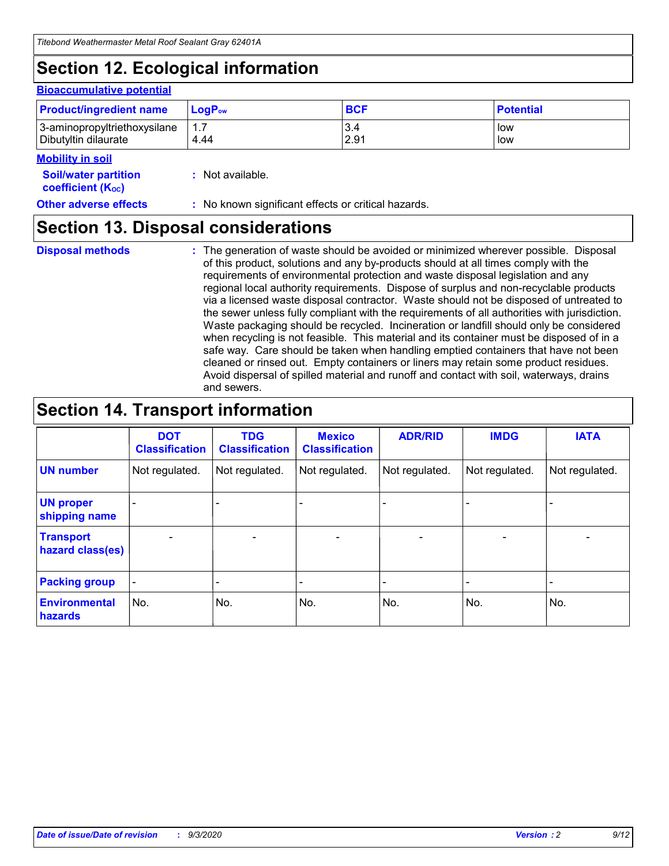## **Section 12. Ecological information**

#### **Bioaccumulative potential**

| <b>Product/ingredient name</b> | <b>LogP</b> <sub>ow</sub> | <b>BCF</b> | <b>Potential</b> |
|--------------------------------|---------------------------|------------|------------------|
| 3-aminopropyltriethoxysilane   | 4.44                      | 3.4        | low              |
| Dibutyltin dilaurate           |                           | 2.91       | low              |

#### **Mobility in soil**

| <b>Soil/water partition</b> | : Not available. |
|-----------------------------|------------------|
| <b>coefficient (Koc)</b>    |                  |

**Other adverse effects** : No known significant effects or critical hazards.

### **Section 13. Disposal considerations**

**Disposal methods :**

The generation of waste should be avoided or minimized wherever possible. Disposal of this product, solutions and any by-products should at all times comply with the requirements of environmental protection and waste disposal legislation and any regional local authority requirements. Dispose of surplus and non-recyclable products via a licensed waste disposal contractor. Waste should not be disposed of untreated to the sewer unless fully compliant with the requirements of all authorities with jurisdiction. Waste packaging should be recycled. Incineration or landfill should only be considered when recycling is not feasible. This material and its container must be disposed of in a safe way. Care should be taken when handling emptied containers that have not been cleaned or rinsed out. Empty containers or liners may retain some product residues. Avoid dispersal of spilled material and runoff and contact with soil, waterways, drains and sewers.

### **Section 14. Transport information**

|                                      | <b>DOT</b><br><b>Classification</b> | <b>TDG</b><br><b>Classification</b> | <b>Mexico</b><br><b>Classification</b> | <b>ADR/RID</b>               | <b>IMDG</b>              | <b>IATA</b>    |
|--------------------------------------|-------------------------------------|-------------------------------------|----------------------------------------|------------------------------|--------------------------|----------------|
| <b>UN number</b>                     | Not regulated.                      | Not regulated.                      | Not regulated.                         | Not regulated.               | Not regulated.           | Not regulated. |
| <b>UN proper</b><br>shipping name    |                                     |                                     |                                        |                              |                          |                |
| <b>Transport</b><br>hazard class(es) | $\overline{\phantom{0}}$            | $\overline{\phantom{0}}$            | $\qquad \qquad$                        | $\qquad \qquad \blacksquare$ | $\overline{\phantom{0}}$ |                |
| <b>Packing group</b>                 | -                                   |                                     |                                        |                              |                          |                |
| <b>Environmental</b><br>hazards      | No.                                 | No.                                 | No.                                    | No.                          | No.                      | No.            |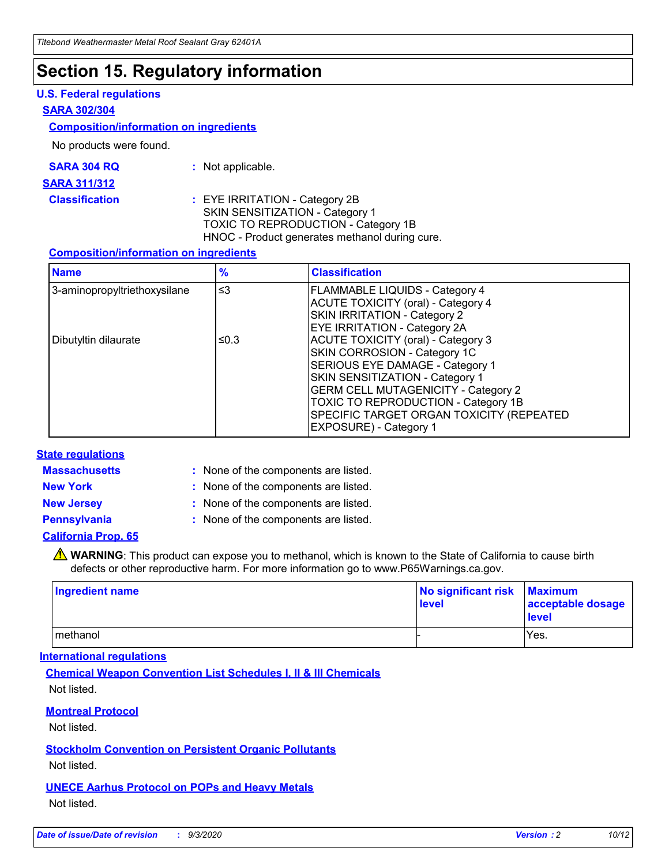### **Section 15. Regulatory information**

#### **U.S. Federal regulations**

#### **SARA 302/304**

#### **Composition/information on ingredients**

No products were found.

| SARA 304 RQ | Not applicable. |
|-------------|-----------------|
|-------------|-----------------|

#### **SARA 311/312**

**Classification :** EYE IRRITATION - Category 2B SKIN SENSITIZATION - Category 1 TOXIC TO REPRODUCTION - Category 1B HNOC - Product generates methanol during cure.

#### **Composition/information on ingredients**

| <b>Name</b>                  | $\frac{9}{6}$ | <b>Classification</b>                                                                                                                                                                                                                                                                                      |
|------------------------------|---------------|------------------------------------------------------------------------------------------------------------------------------------------------------------------------------------------------------------------------------------------------------------------------------------------------------------|
| 3-aminopropyltriethoxysilane | $\leq$ 3      | <b>FLAMMABLE LIQUIDS - Category 4</b><br><b>ACUTE TOXICITY (oral) - Category 4</b><br><b>SKIN IRRITATION - Category 2</b><br>EYE IRRITATION - Category 2A                                                                                                                                                  |
| Dibutyltin dilaurate         | ≤0.3          | <b>ACUTE TOXICITY (oral) - Category 3</b><br>SKIN CORROSION - Category 1C<br>SERIOUS EYE DAMAGE - Category 1<br>SKIN SENSITIZATION - Category 1<br><b>GERM CELL MUTAGENICITY - Category 2</b><br>TOXIC TO REPRODUCTION - Category 1B<br>SPECIFIC TARGET ORGAN TOXICITY (REPEATED<br>EXPOSURE) - Category 1 |

#### **State regulations**

**Massachusetts :**

: None of the components are listed.

**New York :** None of the components are listed. **New Jersey :** None of the components are listed.

**Pennsylvania :** None of the components are listed.

#### **California Prop. 65**

WARNING: This product can expose you to methanol, which is known to the State of California to cause birth defects or other reproductive harm. For more information go to www.P65Warnings.ca.gov.

| Ingredient name | No significant risk<br>level | <b>Maximum</b><br>acceptable dosage<br><b>level</b> |
|-----------------|------------------------------|-----------------------------------------------------|
| l methanol      |                              | Yes.                                                |

#### **International regulations**

**Chemical Weapon Convention List Schedules I, II & III Chemicals** Not listed.

#### **Montreal Protocol**

Not listed.

**Stockholm Convention on Persistent Organic Pollutants**

Not listed.

#### **UNECE Aarhus Protocol on POPs and Heavy Metals** Not listed.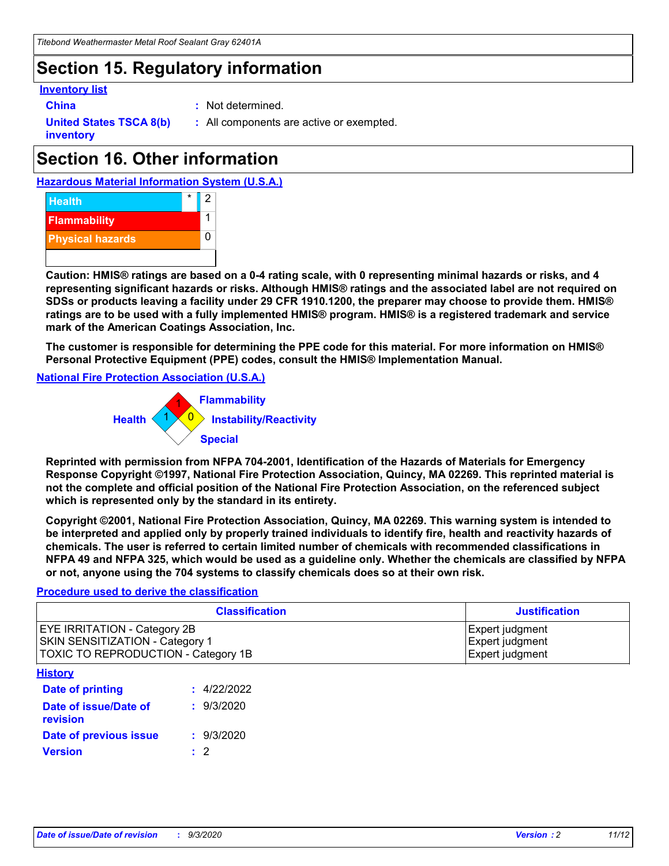### **Section 15. Regulatory information**

#### **Inventory list**

- 
- **China :** Not determined.

**United States TSCA 8(b) inventory**

**:** All components are active or exempted.

## **Section 16. Other information**





**Caution: HMIS® ratings are based on a 0-4 rating scale, with 0 representing minimal hazards or risks, and 4 representing significant hazards or risks. Although HMIS® ratings and the associated label are not required on SDSs or products leaving a facility under 29 CFR 1910.1200, the preparer may choose to provide them. HMIS® ratings are to be used with a fully implemented HMIS® program. HMIS® is a registered trademark and service mark of the American Coatings Association, Inc.**

**The customer is responsible for determining the PPE code for this material. For more information on HMIS® Personal Protective Equipment (PPE) codes, consult the HMIS® Implementation Manual.**

**National Fire Protection Association (U.S.A.)**



**Reprinted with permission from NFPA 704-2001, Identification of the Hazards of Materials for Emergency Response Copyright ©1997, National Fire Protection Association, Quincy, MA 02269. This reprinted material is not the complete and official position of the National Fire Protection Association, on the referenced subject which is represented only by the standard in its entirety.**

**Copyright ©2001, National Fire Protection Association, Quincy, MA 02269. This warning system is intended to be interpreted and applied only by properly trained individuals to identify fire, health and reactivity hazards of chemicals. The user is referred to certain limited number of chemicals with recommended classifications in NFPA 49 and NFPA 325, which would be used as a guideline only. Whether the chemicals are classified by NFPA or not, anyone using the 704 systems to classify chemicals does so at their own risk.**

#### **Procedure used to derive the classification**

| <b>Classification</b>                                                                                         | <b>Justification</b>                                  |
|---------------------------------------------------------------------------------------------------------------|-------------------------------------------------------|
| <b>EYE IRRITATION - Category 2B</b><br>SKIN SENSITIZATION - Category 1<br>TOXIC TO REPRODUCTION - Category 1B | Expert judgment<br>Expert judgment<br>Expert judgment |
| <b>History</b>                                                                                                |                                                       |

| .                                 |             |
|-----------------------------------|-------------|
| <b>Date of printing</b>           | : 4/22/2022 |
| Date of issue/Date of<br>revision | : 9/3/2020  |
| Date of previous issue            | : 9/3/2020  |
| <b>Version</b>                    | $\cdot$ 2   |
|                                   |             |